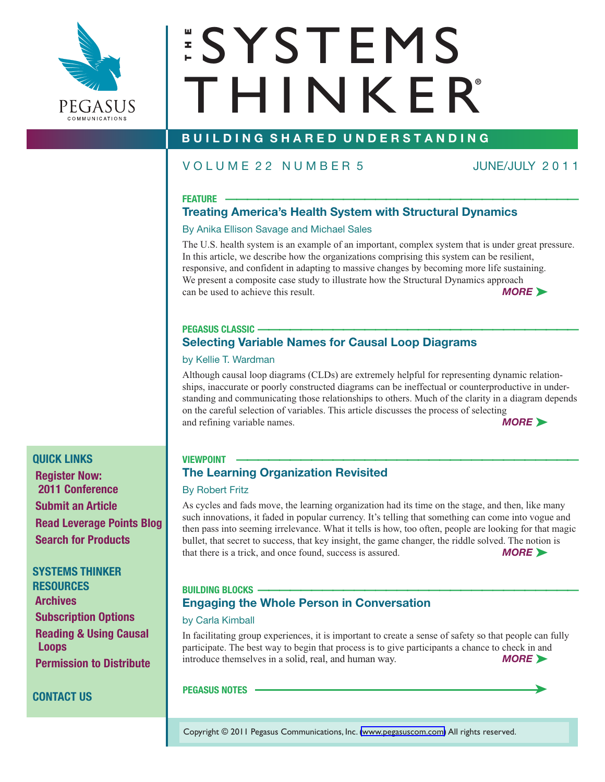

# **ESYSTEMS**  $T$  **H**<br>  $T$  H I N K E R **®**

### **B U I L D I N G S H A R E D U N D E R S T A N D I N G**

### V O L U M E 2 2 N U M B E R 5 JUNE/JULY 2 0 1 1

### **FEATURE** \_\_\_\_\_\_\_\_\_\_\_\_\_\_\_\_\_\_\_\_\_\_\_\_\_\_\_\_\_\_\_\_\_

### **[Treating America's Health System with Structural Dynamics](#page-1-0)**

### By Anika Ellison Savage and Michael Sales

The U.S. health system is an example of an important, complex system that is under great pressure. In this article, we describe how the organizations comprising this system can be resilient, responsive, and confident in adapting to massive changes by becoming more life sustaining. We present a composite case study to illustrate how the Structural Dynamics approach can be used to achieve this result. *MORE ►* 

## **PEGASUS CLASSIC** \_\_\_\_\_\_\_\_\_\_\_\_\_\_\_\_\_\_\_\_\_\_\_\_\_\_\_\_\_\_

### **Selecting Variable Names for Causal Loop Diagrams**

### by Kellie T. Wardman

Although causal loop diagrams (CLDs) are extremely helpful for representing dynamic relationships, inaccurate or poorly constructed diagrams can be ineffectual or counterproductive in under[standing and communicating those relationships to others. Much of the clarity in a diagram depends](#page-6-0) on the careful selection of variables. This article discusses the process of selecting and refining variable names. *MORE* ►

### **VIEWPOINT** \_\_\_\_\_\_\_\_\_\_\_\_\_\_\_\_\_\_\_\_\_\_\_\_\_\_\_\_\_\_\_\_

### **The Learning Organization Revisited**

### By Robert Fritz

As cycles and fads move, the learning organization had its time on the stage, and then, like many such innovations, it faded in popular currency. It's telling that something can come into vogue and [then pass into seeming irrelevance. What it tells is how, too often, people are looking for that magic](#page-7-0) bullet, that secret to success, that key insight, the game changer, the riddle solved. The notion is that there is a trick, and once found, success is assured. *MORE* ►

### **BUILDING BLOCKS** \_\_\_\_\_\_\_\_\_\_\_\_\_\_\_\_\_\_\_\_\_\_\_\_\_\_\_\_\_\_ **Engaging the Whole Person in Conversation**

### by Carla Kimball

[In facilitating group experiences, it is important to create a sense of safety so that people can fully](#page-10-0) participate. The best way to begin that process is to give participants a chance to check in and introduce themselves in a solid, real, and human way. *MORE ►* 

### **[PEGASUS NOTES](#page-11-0) –**

Copyright © 2011 [Pegasus Communications, Inc. \(www.pegasuscom.com\)](http://www.pegasuscom.com) All rights reserved.

**QUICK LINKS [Register Now:](http://www.systemsthinkinginaction.com/registration) 2011 Conference [Submit an Article](mailto:editor@pegasuscom.com) [Read Leverage Points Blog](http://blog.pegasuscom.com) [Search for Products](http://www.pegasuscom.com/searchforbooks.asp)**

**SYSTEMS THINKER RESOURCES [Archives](http://www.thesystemsthinker.com/purchasearticles.html) [Subscription Options](http://www.thesystemsthinker.com/subscribetoday.html) [Reading & Using Causal](http://www.pegasuscom.com/cld.html) [Loops](http://www.pegasuscom.com/cld.html) [Permission to Distribute](mailto:permissions@pegasuscom.com)**

### **[CONTACT US](http://www.pegasuscom.com/aboutpci.html)**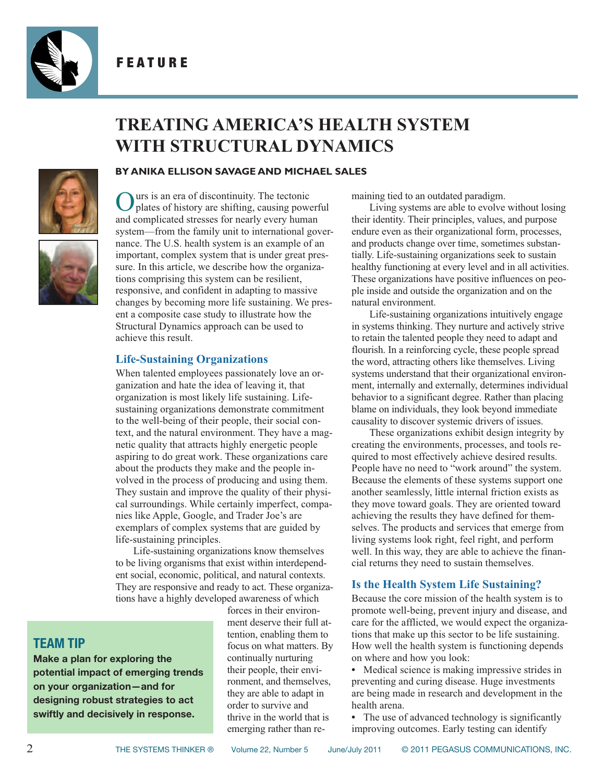<span id="page-1-0"></span>

F E A T U R E

### **TREATING AMERICA'S HEALTH SYSTEM WITH STRUCTURAL DYNAMICS**



#### **BY ANIKA ELLISON SAVAGE AND MICHAEL SALES**

Ours is an era of discontinuity. The tectonic plates of history are shifting, causing powerful and complicated stresses for nearly every human system—from the family unit to international governance. The U.S. health system is an example of an important, complex system that is under great pressure. In this article, we describe how the organizations comprising this system can be resilient, responsive, and confident in adapting to massive changes by becoming more life sustaining. We present a composite case study to illustrate how the Structural Dynamics approach can be used to achieve this result.

### **Life-Sustaining Organizations**

When talented employees passionately love an organization and hate the idea of leaving it, that organization is most likely life sustaining. Lifesustaining organizations demonstrate commitment to the well-being of their people, their social context, and the natural environment. They have a magnetic quality that attracts highly energetic people aspiring to do great work. These organizations care about the products they make and the people involved in the process of producing and using them. They sustain and improve the quality of their physical surroundings. While certainly imperfect, companies like Apple, Google, and Trader Joe's are exemplars of complex systems that are guided by life-sustaining principles.

Life-sustaining organizations know themselves to be living organisms that exist within interdependent social, economic, political, and natural contexts. They are responsive and ready to act. These organizations have a highly developed awareness of which

### **TEAM TIP**

**Make a plan for exploring the potential impact of emerging trends on your organization—and for designing robust strategies to act swiftly and decisively in response.**

forces in their environment deserve their full attention, enabling them to focus on what matters. By continually nurturing their people, their environment, and themselves, they are able to adapt in order to survive and thrive in the world that is emerging rather than remaining tied to an outdated paradigm.

Living systems are able to evolve without losing their identity. Their principles, values, and purpose endure even as their organizational form, processes, and products change over time, sometimes substantially. Life-sustaining organizations seek to sustain healthy functioning at every level and in all activities. These organizations have positive influences on people inside and outside the organization and on the natural environment.

Life-sustaining organizations intuitively engage in systems thinking. They nurture and actively strive to retain the talented people they need to adapt and flourish. In a reinforcing cycle, these people spread the word, attracting others like themselves. Living systems understand that their organizational environment, internally and externally, determines individual behavior to a significant degree. Rather than placing blame on individuals, they look beyond immediate causality to discover systemic drivers of issues.

These organizations exhibit design integrity by creating the environments, processes, and tools required to most effectively achieve desired results. People have no need to "work around" the system. Because the elements of these systems support one another seamlessly, little internal friction exists as they move toward goals. They are oriented toward achieving the results they have defined for themselves. The products and services that emerge from living systems look right, feel right, and perform well. In this way, they are able to achieve the financial returns they need to sustain themselves.

#### **Is the Health System Life Sustaining?**

Because the core mission of the health system is to promote well-being, prevent injury and disease, and care for the afflicted, we would expect the organizations that make up this sector to be life sustaining. How well the health system is functioning depends on where and how you look:

**•** Medical science is making impressive strides in preventing and curing disease. Huge investments are being made in research and development in the health arena.

• The use of advanced technology is significantly improving outcomes. Early testing can identify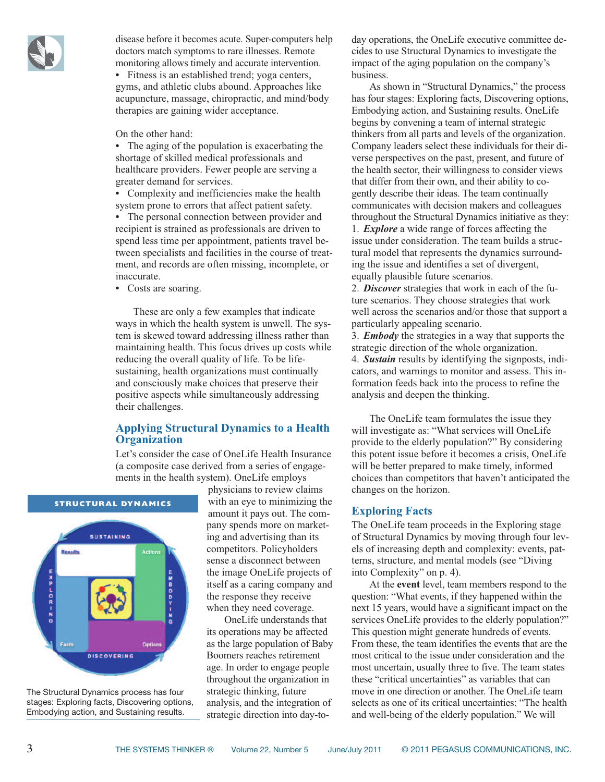

disease before it becomes acute. Super-computers help doctors match symptoms to rare illnesses. Remote monitoring allows timely and accurate intervention.

**•** Fitness is an established trend; yoga centers, gyms, and athletic clubs abound. Approaches like acupuncture, massage, chiropractic, and mind/body therapies are gaining wider acceptance.

On the other hand:

**•** The aging of the population is exacerbating the shortage of skilled medical professionals and healthcare providers. Fewer people are serving a greater demand for services.

**•** Complexity and inefficiencies make the health system prone to errors that affect patient safety.

**•** The personal connection between provider and recipient is strained as professionals are driven to spend less time per appointment, patients travel between specialists and facilities in the course of treatment, and records are often missing, incomplete, or inaccurate.

**•** Costs are soaring.

These are only a few examples that indicate ways in which the health system is unwell. The system is skewed toward addressing illness rather than maintaining health. This focus drives up costs while reducing the overall quality of life. To be lifesustaining, health organizations must continually and consciously make choices that preserve their positive aspects while simultaneously addressing their challenges.

### **Applying Structural Dynamics to a Health Organization**

Let's consider the case of OneLife Health Insurance (a composite case derived from a series of engagements in the health system). OneLife employs



The Structural Dynamics process has four stages: Exploring facts, Discovering options, Embodying action, and Sustaining results.

physicians to review claims with an eye to minimizing the amount it pays out. The company spends more on marketing and advertising than its competitors. Policyholders sense a disconnect between the image OneLife projects of itself as a caring company and the response they receive when they need coverage.

OneLife understands that its operations may be affected as the large population of Baby Boomers reaches retirement age. In order to engage people throughout the organization in strategic thinking, future analysis, and the integration of strategic direction into day-today operations, the OneLife executive committee decides to use Structural Dynamics to investigate the impact of the aging population on the company's business.

As shown in "Structural Dynamics," the process has four stages: Exploring facts, Discovering options, Embodying action, and Sustaining results. OneLife begins by convening a team of internal strategic thinkers from all parts and levels of the organization. Company leaders select these individuals for their diverse perspectives on the past, present, and future of the health sector, their willingness to consider views that differ from their own, and their ability to cogently describe their ideas. The team continually communicates with decision makers and colleagues throughout the Structural Dynamics initiative as they: 1. *Explore* a wide range of forces affecting the issue under consideration. The team builds a struc-

tural model that represents the dynamics surrounding the issue and identifies a set of divergent, equally plausible future scenarios.

2. *Discover* strategies that work in each of the future scenarios. They choose strategies that work well across the scenarios and/or those that support a particularly appealing scenario.

3. *Embody* the strategies in a way that supports the strategic direction of the whole organization. 4. *Sustain* results by identifying the signposts, indicators, and warnings to monitor and assess. This information feeds back into the process to refine the analysis and deepen the thinking.

The OneLife team formulates the issue they will investigate as: "What services will OneLife provide to the elderly population?" By considering this potent issue before it becomes a crisis, OneLife will be better prepared to make timely, informed choices than competitors that haven't anticipated the changes on the horizon.

### **Exploring Facts**

The OneLife team proceeds in the Exploring stage of Structural Dynamics by moving through four levels of increasing depth and complexity: events, patterns, structure, and mental models (see "Diving into Complexity" on p. 4).

At the **event** level, team members respond to the question: "What events, if they happened within the next 15 years, would have a significant impact on the services OneLife provides to the elderly population?" This question might generate hundreds of events. From these, the team identifies the events that are the most critical to the issue under consideration and the most uncertain, usually three to five. The team states these "critical uncertainties" as variables that can move in one direction or another. The OneLife team selects as one of its critical uncertainties: "The health and well-being of the elderly population." We will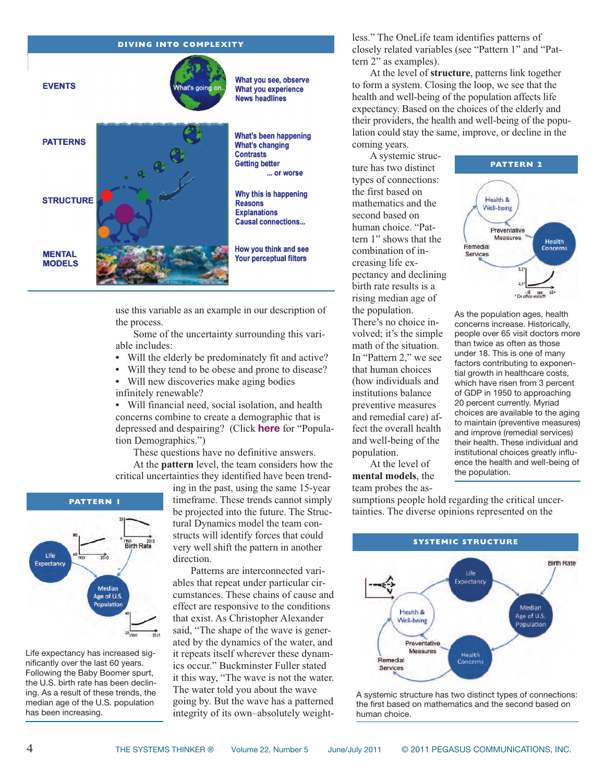

use this variable as an example in our description of the process.

Some of the uncertainty surrounding this variable includes:

- **•** Will the elderly be predominately fit and active?
- **•** Will they tend to be obese and prone to disease?
- **•** Will new discoveries make aging bodies infinitely renewable?

**•** Will financial need, social isolation, and health concerns combine to create a demographic that is depressed and despairing? (Click **[here](http://www.pegasuscom.com/download/Population_Demographics.pdf)** for "Population Demographics.")

These questions have no definitive answers. At the **pattern** level, the team considers how the critical uncertainties they identified have been trend-



Life expectancy has increased significantly over the last 60 years. Following the Baby Boomer spurt, the U.S. birth rate has been declining. As a result of these trends, the median age of the U.S. population has been increasing.

ing in the past, using the same 15-year timeframe. These trends cannot simply be projected into the future. The Structural Dynamics model the team constructs will identify forces that could very well shift the pattern in another direction.

Patterns are interconnected variables that repeat under particular circumstances. These chains of cause and effect are responsive to the conditions that exist. As Christopher Alexander said, "The shape of the wave is generated by the dynamics of the water, and it repeats itself wherever these dynamics occur." Buckminster Fuller stated it this way, "The wave is not the water. The water told you about the wave going by. But the wave has a patterned integrity of its own–absolutely weightless." The OneLife team identifies patterns of closely related variables (see "Pattern 1" and "Pattern 2" as examples).

At the level of **structure**, patterns link together to form a system. Closing the loop, we see that the health and well-being of the population affects life expectancy. Based on the choices of the elderly and their providers, the health and well-being of the population could stay the same, improve, or decline in the coming years.

A systemic structure has two distinct types of connections: the first based on mathematics and the second based on human choice. "Pattern 1" shows that the combination of increasing life expectancy and declining birth rate results is a rising median age of the population. There's no choice in-

volved; it's the simple math of the situation. In "Pattern 2," we see that human choices (how individuals and institutions balance preventive measures and remedial care) affect the overall health and well-being of the population.

At the level of **mental models**, the team probes the as-



As the population ages, health concerns increase. Historically, people over 65 visit doctors more than twice as often as those under 18. This is one of many factors contributing to exponential growth in healthcare costs. which have risen from 3 percent of GDP in 1950 to approaching 20 percent currently. Myriad choices are available to the aging to maintain (preventive measures) and improve (remedial services) their health. These individual and institutional choices greatly influence the health and well-being of the population.

sumptions people hold regarding the critical uncertainties. The diverse opinions represented on the



A systemic structure has two distinct types of connections: the first based on mathematics and the second based on human choice.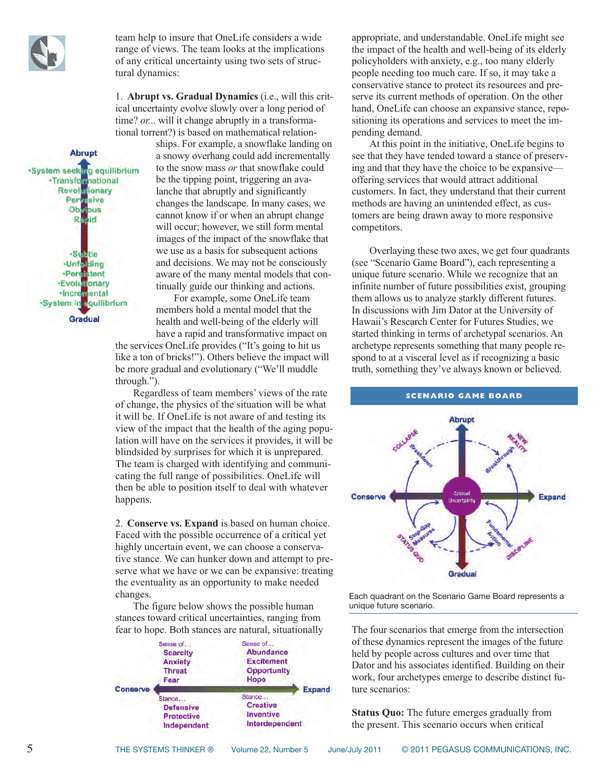

team help to insure that OneLife considers a wide range of views. The team looks at the implications of any critical uncertainty using two sets of structural dynamics:

1. **Abrupt vs. Gradual Dynamics** (i.e., will this critical uncertainty evolve slowly over a long period of time? *or...* will it change abruptly in a transformational torrent?) is based on mathematical relation-

ships. For example, a snowflake landing on a snowy overhang could add incrementally to the snow mass *or* that snowflake could be the tipping point, triggering an avalanche that abruptly and significantly changes the landscape. In many cases, we cannot know if or when an abrupt change will occur; however, we still form mental images of the impact of the snowflake that we use as a basis for subsequent actions and decisions. We may not be consciously aware of the many mental models that continually guide our thinking and actions.

For example, some OneLife team members hold a mental model that the health and well-being of the elderly will have a rapid and transformative impact on

the services OneLife provides ("It's going to hit us like a ton of bricks!"). Others believe the impact will be more gradual and evolutionary ("We'll muddle through.").

Regardless of team members' views of the rate of change, the physics of the situation will be what it will be. If OneLife is not aware of and testing its view of the impact that the health of the aging population will have on the services it provides, it will be blindsided by surprises for which it is unprepared. The team is charged with identifying and communicating the full range of possibilities. OneLife will then be able to position itself to deal with whatever happens.

2. **Conserve vs. Expand** is based on human choice. Faced with the possible occurrence of a critical yet highly uncertain event, we can choose a conservative stance. We can hunker down and attempt to preserve what we have or we can be expansive: treating the eventuality as an opportunity to make needed changes.

The figure below shows the possible human stances toward critical uncertainties, ranging from fear to hope. Both stances are natural, situationally



appropriate, and understandable. OneLife might see the impact of the health and well-being of its elderly policyholders with anxiety, e.g., too many elderly people needing too much care. If so, it may take a conservative stance to protect its resources and preserve its current methods of operation. On the other hand, OneLife can choose an expansive stance, repositioning its operations and services to meet the impending demand.

At this point in the initiative, OneLife begins to see that they have tended toward a stance of preserving and that they have the choice to be expansive offering services that would attract additional customers. In fact, they understand that their current methods are having an unintended effect, as customers are being drawn away to more responsive competitors.

Overlaying these two axes, we get four quadrants (see "Scenario Game Board"), each representing a unique future scenario. While we recognize that an infinite number of future possibilities exist, grouping them allows us to analyze starkly different futures. In discussions with Jim Dator at the University of Hawaii's Research Center for Futures Studies, we started thinking in terms of archetypal scenarios. An archetype represents something that many people respond to at a visceral level as if recognizing a basic truth, something they've always known or believed.



Each quadrant on the Scenario Game Board represents a unique future scenario.

The four scenarios that emerge from the intersection of these dynamics represent the images of the future held by people across cultures and over time that Dator and his associates identified. Building on their work, four archetypes emerge to describe distinct future scenarios:

**Status Quo:** The future emerges gradually from the present. This scenario occurs when critical

·System seeking equilibrium -Transformational **Revolutionary** Pervasive<br>Obvious Rapid ·Sulztle -Unfolding +Persistent **Evolutionary** -Incremental ·System in equilibrium

**Gradual** 

**Abrupt**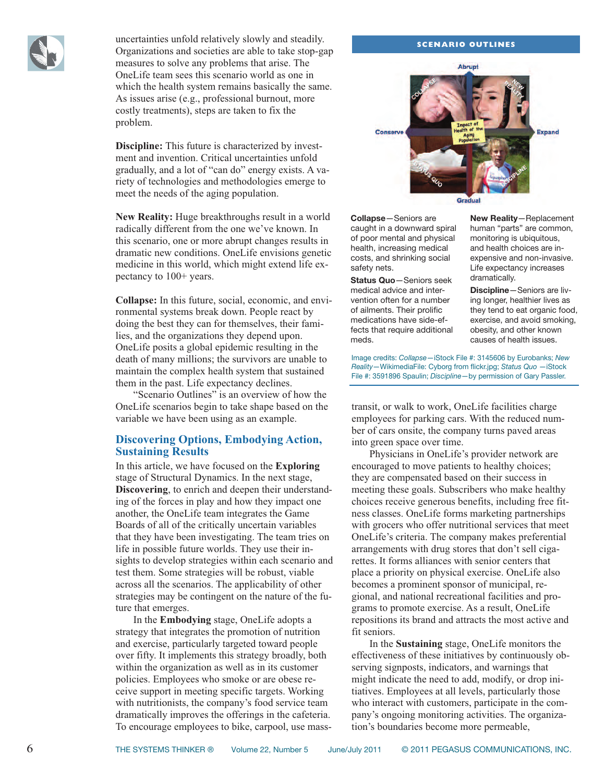

uncertainties unfold relatively slowly and steadily. Organizations and societies are able to take stop-gap measures to solve any problems that arise. The OneLife team sees this scenario world as one in which the health system remains basically the same. As issues arise (e.g., professional burnout, more costly treatments), steps are taken to fix the problem.

**Discipline:** This future is characterized by investment and invention. Critical uncertainties unfold gradually, and a lot of "can do" energy exists. A variety of technologies and methodologies emerge to meet the needs of the aging population.

**New Reality:** Huge breakthroughs result in a world radically different from the one we've known. In this scenario, one or more abrupt changes results in dramatic new conditions. OneLife envisions genetic medicine in this world, which might extend life expectancy to 100+ years.

**Collapse:** In this future, social, economic, and environmental systems break down. People react by doing the best they can for themselves, their families, and the organizations they depend upon. OneLife posits a global epidemic resulting in the death of many millions; the survivors are unable to maintain the complex health system that sustained them in the past. Life expectancy declines.

"Scenario Outlines" is an overview of how the OneLife scenarios begin to take shape based on the variable we have been using as an example.

### **Discovering Options, Embodying Action, Sustaining Results**

In this article, we have focused on the **Exploring** stage of Structural Dynamics. In the next stage, **Discovering**, to enrich and deepen their understanding of the forces in play and how they impact one another, the OneLife team integrates the Game Boards of all of the critically uncertain variables that they have been investigating. The team tries on life in possible future worlds. They use their insights to develop strategies within each scenario and test them. Some strategies will be robust, viable across all the scenarios. The applicability of other strategies may be contingent on the nature of the future that emerges.

In the **Embodying** stage, OneLife adopts a strategy that integrates the promotion of nutrition and exercise, particularly targeted toward people over fifty. It implements this strategy broadly, both within the organization as well as in its customer policies. Employees who smoke or are obese receive support in meeting specific targets. Working with nutritionists, the company's food service team dramatically improves the offerings in the cafeteria. To encourage employees to bike, carpool, use mass-

#### **SCENARIO OUTLINES**



**Collapse**—Seniors are caught in a downward spiral of poor mental and physical health, increasing medical costs, and shrinking social safety nets.

**Status Quo**—Seniors seek medical advice and intervention often for a number of ailments. Their prolific medications have side-effects that require additional meds.

**New Reality**—Replacement human "parts" are common, monitoring is ubiquitous, and health choices are inexpensive and non-invasive. Life expectancy increases dramatically.

**Discipline**—Seniors are living longer, healthier lives as they tend to eat organic food, exercise, and avoid smoking, obesity, and other known causes of health issues.

Image credits: *Collapse*—iStock File #: 3145606 by Eurobanks; *New Reality*—WikimediaFile: Cyborg from flickr.jpg; *Status Quo* —iStock File #: 3591896 Spaulin; *Discipline*—by permission of Gary Passler.

transit, or walk to work, OneLife facilities charge employees for parking cars. With the reduced number of cars onsite, the company turns paved areas into green space over time.

Physicians in OneLife's provider network are encouraged to move patients to healthy choices; they are compensated based on their success in meeting these goals. Subscribers who make healthy choices receive generous benefits, including free fitness classes. OneLife forms marketing partnerships with grocers who offer nutritional services that meet OneLife's criteria. The company makes preferential arrangements with drug stores that don't sell cigarettes. It forms alliances with senior centers that place a priority on physical exercise. OneLife also becomes a prominent sponsor of municipal, regional, and national recreational facilities and programs to promote exercise. As a result, OneLife repositions its brand and attracts the most active and fit seniors.

In the **Sustaining** stage, OneLife monitors the effectiveness of these initiatives by continuously observing signposts, indicators, and warnings that might indicate the need to add, modify, or drop initiatives. Employees at all levels, particularly those who interact with customers, participate in the company's ongoing monitoring activities. The organization's boundaries become more permeable,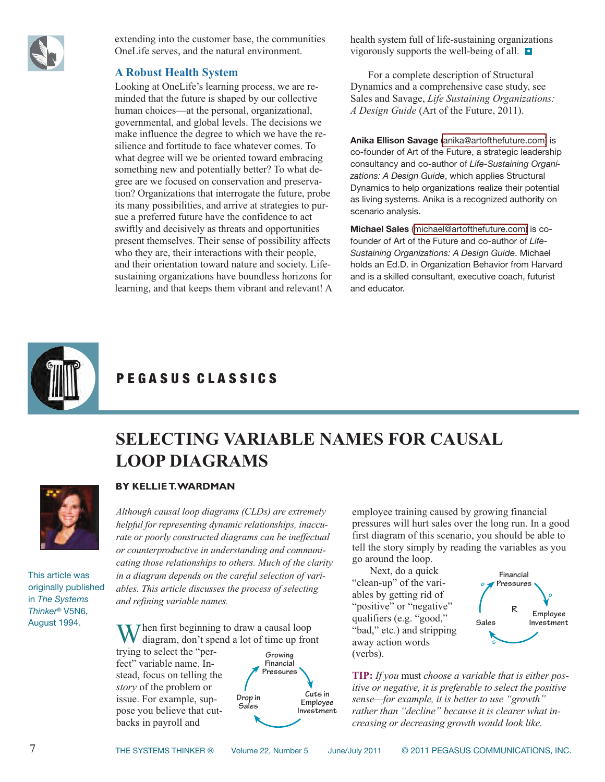<span id="page-6-0"></span>

extending into the customer base, the communities OneLife serves, and the natural environment.

### **A Robust Health System**

Looking at OneLife's learning process, we are reminded that the future is shaped by our collective human choices—at the personal, organizational, governmental, and global levels. The decisions we make influence the degree to which we have the resilience and fortitude to face whatever comes. To what degree will we be oriented toward embracing something new and potentially better? To what degree are we focused on conservation and preservation? Organizations that interrogate the future, probe its many possibilities, and arrive at strategies to pursue a preferred future have the confidence to act swiftly and decisively as threats and opportunities present themselves. Their sense of possibility affects who they are, their interactions with their people, and their orientation toward nature and society. Lifesustaining organizations have boundless horizons for learning, and that keeps them vibrant and relevant! A health system full of life-sustaining organizations vigorously supports the well-being of all. **•**

For a complete description of Structural Dynamics and a comprehensive case study, see Sales and Savage, *Life Sustaining Organizations: A Design Guide* (Art of the Future, 2011).

**Anika Ellison Savage** [\(anika@artofthefuture.com\)](mailto:anika@artofthefuture.com) is co-founder of Art of the Future, a strategic leadership consultancy and co-author of *Life-Sustaining Organizations: A Design Guide*, which applies Structural Dynamics to help organizations realize their potential as living systems. Anika is a recognized authority on scenario analysis.

**Michael Sales** ([michael@artofthefuture.com\)](mailto:michael@artofthefuture.com) is cofounder of Art of the Future and co-author of *Life-Sustaining Organizations: A Design Guide*. Michael holds an Ed.D. in Organization Behavior from Harvard and is a skilled consultant, executive coach, futurist and educator.



### PEGASUS CLASSICS

**LOOP DIAGRAMS**



### **BY KELLIET.WARDMAN**

*Although causal loop diagrams (CLDs) are extremely helpful for representing dynamic relationships, inaccurate or poorly constructed diagrams can be ineffectual or counterproductive in understanding and communicating those relationships to others. Much of the clarity in a diagram depends on the careful selection of variables. This article discusses the process of selecting and refining variable names.*

This article was originally published in *The Systems Thinker®* V5N6, August 1994.

Then first beginning to draw a causal loop diagram, don't spend a lot of time up front trying to select the "per-**Growing**

fect" variable name. Instead, focus on telling the *story* of the problem or issue. For example, suppose you believe that cutbacks in payroll and



**SELECTING VARIABLE NAMES FOR CAUSAL**

employee training caused by growing financial pressures will hurt sales over the long run. In a good first diagram of this scenario, you should be able to tell the story simply by reading the variables as you go around the loop.

Next, do a quick "clean-up" of the variables by getting rid of ""positive" or "negative" qualifiers (e.g. "good," "bad," etc.) and stripping away action words (verbs).



**TIP:** *If you* must *choose a variable that is either positive or negative, it is preferable to select the positive sense—for example, it is better to use "growth" rather than "decline" because it is clearer what increasing or decreasing growth would look like.*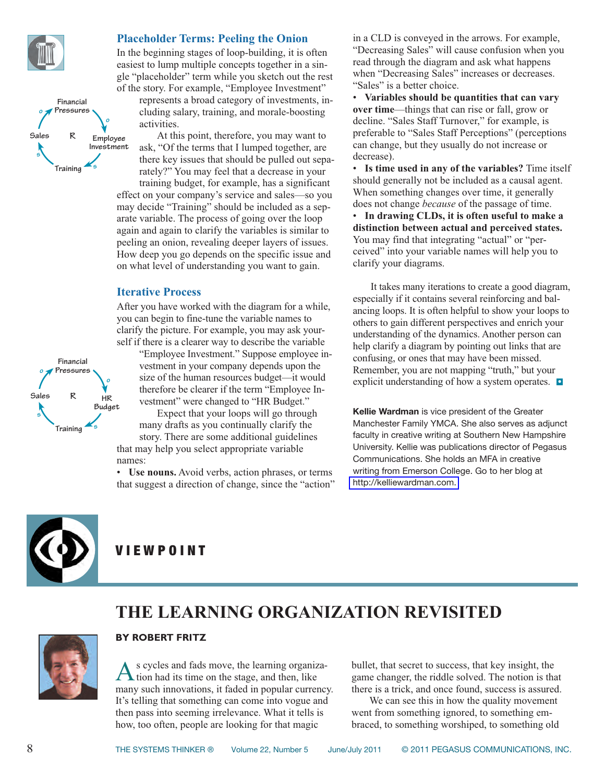<span id="page-7-0"></span>

**s**

**Sales**

**o**

**R**

**Training s**

**o**

**Financial Pressures**

### **Placeholder Terms: Peeling the Onion**

In the beginning stages of loop-building, it is often easiest to lump multiple concepts together in a single "placeholder" term while you sketch out the rest of the story. For example, "Employee Investment" represents a broad category of investments, in-

cluding salary, training, and morale-boosting activities.

At this point, therefore, you may want to ask, "Of the terms that I lumped together, are there key issues that should be pulled out separately?" You may feel that a decrease in your training budget, for example, has a significant effect on your company's service and sales—so you may decide "Training" should be included as a separate variable. The process of going over the loop again and again to clarify the variables is similar to peeling an onion, revealing deeper layers of issues. How deep you go depends on the specific issue and on what level of understanding you want to gain. **Employee Investment**

#### **Iterative Process**

After you have worked with the diagram for a while, you can begin to fine-tune the variable names to clarify the picture. For example, you may ask yourself if there is a clearer way to describe the variable

"Employee Investment." Suppose employee investment in your company depends upon the size of the human resources budget—it would therefore be clearer if the term "Employee Investment" were changed to "HR Budget."

Expect that your loops will go through many drafts as you continually clarify the story. There are some additional guidelines that may help you select appropriate variable

names: • **Use nouns.** Avoid verbs, action phrases, or terms that suggest a direction of change, since the "action" in a CLD is conveyed in the arrows. For example, "Decreasing Sales" will cause confusion when you read through the diagram and ask what happens when "Decreasing Sales" increases or decreases. "Sales" is a better choice.

• **Variables should be quantities that can vary over time**—things that can rise or fall, grow or decline. "Sales Staff Turnover," for example, is preferable to "Sales Staff Perceptions" (perceptions can change, but they usually do not increase or decrease).

• **Is time used in any of the variables?** Time itself should generally not be included as a causal agent. When something changes over time, it generally does not change *because* of the passage of time.

• **In drawing CLDs, it is often useful to make a distinction between actual and perceived states.** You may find that integrating "actual" or "perceived" into your variable names will help you to clarify your diagrams.

It takes many iterations to create a good diagram, especially if it contains several reinforcing and balancing loops. It is often helpful to show your loops to others to gain different perspectives and enrich your understanding of the dynamics. Another person can help clarify a diagram by pointing out links that are confusing, or ones that may have been missed. Remember, you are not mapping "truth," but your explicit understanding of how a system operates. **•**

**Kellie Wardman** is vice president of the Greater Manchester Family YMCA. She also serves as adjunct faculty in creative writing at Southern New Hampshire University. Kellie was publications director of Pegasus Communications. She holds an MFA in creative writing from Emerson College. Go to her blog at [http://kelliewardman.com.](http://kelliewardman.com)



### V I E W P O I N T

### **THE LEARNING ORGANIZATION REVISITED**



### **BY ROBERT FRITZ**

s cycles and fads move, the learning organiza- $\blacksquare$  tion had its time on the stage, and then, like many such innovations, it faded in popular currency. It's telling that something can come into vogue and then pass into seeming irrelevance. What it tells is how, too often, people are looking for that magic

bullet, that secret to success, that key insight, the game changer, the riddle solved. The notion is that there is a trick, and once found, success is assured.

We can see this in how the quality movement went from something ignored, to something embraced, to something worshiped, to something old

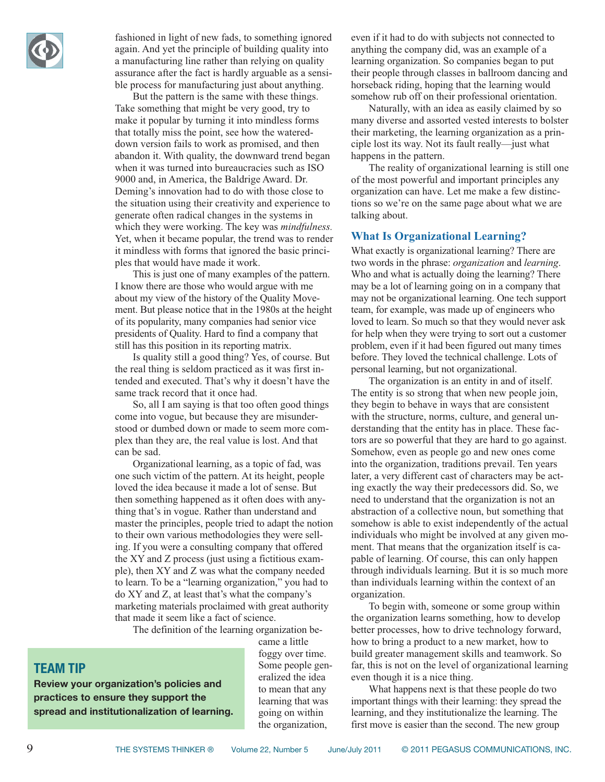

fashioned in light of new fads, to something ignored again. And yet the principle of building quality into a manufacturing line rather than relying on quality assurance after the fact is hardly arguable as a sensible process for manufacturing just about anything.

But the pattern is the same with these things. Take something that might be very good, try to make it popular by turning it into mindless forms that totally miss the point, see how the watereddown version fails to work as promised, and then abandon it. With quality, the downward trend began when it was turned into bureaucracies such as ISO 9000 and, in America, the Baldrige Award. Dr. Deming's innovation had to do with those close to the situation using their creativity and experience to generate often radical changes in the systems in which they were working. The key was *mindfulness.* Yet, when it became popular, the trend was to render it mindless with forms that ignored the basic principles that would have made it work.

This is just one of many examples of the pattern. I know there are those who would argue with me about my view of the history of the Quality Movement. But please notice that in the 1980s at the height of its popularity, many companies had senior vice presidents of Quality. Hard to find a company that still has this position in its reporting matrix.

Is quality still a good thing? Yes, of course. But the real thing is seldom practiced as it was first intended and executed. That's why it doesn't have the same track record that it once had.

So, all I am saying is that too often good things come into vogue, but because they are misunderstood or dumbed down or made to seem more complex than they are, the real value is lost. And that can be sad.

Organizational learning, as a topic of fad, was one such victim of the pattern. At its height, people loved the idea because it made a lot of sense. But then something happened as it often does with anything that's in vogue. Rather than understand and master the principles, people tried to adapt the notion to their own various methodologies they were selling. If you were a consulting company that offered the XY and Z process (just using a fictitious example), then XY and Z was what the company needed to learn. To be a "learning organization," you had to do XY and Z, at least that's what the company's marketing materials proclaimed with great authority that made it seem like a fact of science.

The definition of the learning organization be-

### **TEAM TIP**

**Review your organization's policies and practices to ensure they support the spread and institutionalization of learning.** came a little foggy over time. Some people generalized the idea to mean that any learning that was going on within the organization,

even if it had to do with subjects not connected to anything the company did, was an example of a learning organization. So companies began to put their people through classes in ballroom dancing and horseback riding, hoping that the learning would somehow rub off on their professional orientation.

Naturally, with an idea as easily claimed by so many diverse and assorted vested interests to bolster their marketing, the learning organization as a principle lost its way. Not its fault really—just what happens in the pattern.

The reality of organizational learning is still one of the most powerful and important principles any organization can have. Let me make a few distinctions so we're on the same page about what we are talking about.

#### **What Is Organizational Learning?**

What exactly is organizational learning? There are two words in the phrase: *organization* and *learning*. Who and what is actually doing the learning? There may be a lot of learning going on in a company that may not be organizational learning. One tech support team, for example, was made up of engineers who loved to learn. So much so that they would never ask for help when they were trying to sort out a customer problem, even if it had been figured out many times before. They loved the technical challenge. Lots of personal learning, but not organizational.

The organization is an entity in and of itself. The entity is so strong that when new people join, they begin to behave in ways that are consistent with the structure, norms, culture, and general understanding that the entity has in place. These factors are so powerful that they are hard to go against. Somehow, even as people go and new ones come into the organization, traditions prevail. Ten years later, a very different cast of characters may be acting exactly the way their predecessors did. So, we need to understand that the organization is not an abstraction of a collective noun, but something that somehow is able to exist independently of the actual individuals who might be involved at any given moment. That means that the organization itself is capable of learning. Of course, this can only happen through individuals learning. But it is so much more than individuals learning within the context of an organization.

To begin with, someone or some group within the organization learns something, how to develop better processes, how to drive technology forward, how to bring a product to a new market, how to build greater management skills and teamwork. So far, this is not on the level of organizational learning even though it is a nice thing.

What happens next is that these people do two important things with their learning: they spread the learning, and they institutionalize the learning. The first move is easier than the second. The new group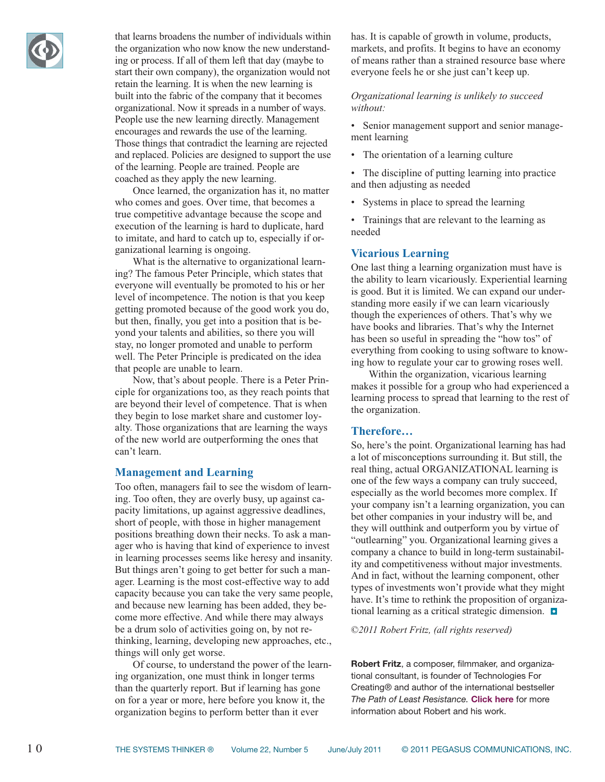

that learns broadens the number of individuals within the organization who now know the new understanding or process. If all of them left that day (maybe to start their own company), the organization would not retain the learning. It is when the new learning is built into the fabric of the company that it becomes organizational. Now it spreads in a number of ways. People use the new learning directly. Management encourages and rewards the use of the learning. Those things that contradict the learning are rejected and replaced. Policies are designed to support the use of the learning. People are trained. People are coached as they apply the new learning.

Once learned, the organization has it, no matter who comes and goes. Over time, that becomes a true competitive advantage because the scope and execution of the learning is hard to duplicate, hard to imitate, and hard to catch up to, especially if organizational learning is ongoing.

What is the alternative to organizational learning? The famous Peter Principle, which states that everyone will eventually be promoted to his or her level of incompetence. The notion is that you keep getting promoted because of the good work you do, but then, finally, you get into a position that is beyond your talents and abilities, so there you will stay, no longer promoted and unable to perform well. The Peter Principle is predicated on the idea that people are unable to learn.

Now, that's about people. There is a Peter Principle for organizations too, as they reach points that are beyond their level of competence. That is when they begin to lose market share and customer loyalty. Those organizations that are learning the ways of the new world are outperforming the ones that can't learn.

### **Management and Learning**

Too often, managers fail to see the wisdom of learning. Too often, they are overly busy, up against capacity limitations, up against aggressive deadlines, short of people, with those in higher management positions breathing down their necks. To ask a manager who is having that kind of experience to invest in learning processes seems like heresy and insanity. But things aren't going to get better for such a manager. Learning is the most cost-effective way to add capacity because you can take the very same people, and because new learning has been added, they become more effective. And while there may always be a drum solo of activities going on, by not rethinking, learning, developing new approaches, etc., things will only get worse.

Of course, to understand the power of the learning organization, one must think in longer terms than the quarterly report. But if learning has gone on for a year or more, here before you know it, the organization begins to perform better than it ever

has. It is capable of growth in volume, products, markets, and profits. It begins to have an economy of means rather than a strained resource base where everyone feels he or she just can't keep up.

#### *Organizational learning is unlikely to succeed without:*

- Senior management support and senior management learning
- The orientation of a learning culture
- The discipline of putting learning into practice and then adjusting as needed
- Systems in place to spread the learning

• Trainings that are relevant to the learning as needed

#### **Vicarious Learning**

One last thing a learning organization must have is the ability to learn vicariously. Experiential learning is good. But it is limited. We can expand our understanding more easily if we can learn vicariously though the experiences of others. That's why we have books and libraries. That's why the Internet has been so useful in spreading the "how tos" of everything from cooking to using software to knowing how to regulate your car to growing roses well.

Within the organization, vicarious learning makes it possible for a group who had experienced a learning process to spread that learning to the rest of the organization.

#### **Therefore…**

So, here's the point. Organizational learning has had a lot of misconceptions surrounding it. But still, the real thing, actual ORGANIZATIONAL learning is one of the few ways a company can truly succeed, especially as the world becomes more complex. If your company isn't a learning organization, you can bet other companies in your industry will be, and they will outthink and outperform you by virtue of "outlearning" you. Organizational learning gives a company a chance to build in long-term sustainability and competitiveness without major investments. And in fact, without the learning component, other types of investments won't provide what they might have. It's time to rethink the proposition of organizational learning as a critical strategic dimension. **•**

*©2011 Robert Fritz, (all rights reserved)*

**Robert Fritz**, a composer, filmmaker, and organizational consultant, is founder of Technologies For Creating® and author of the international bestseller *The Path of Least Resistance.* **[Click here](http://www.robertfritz.com)** for more information about Robert and his work.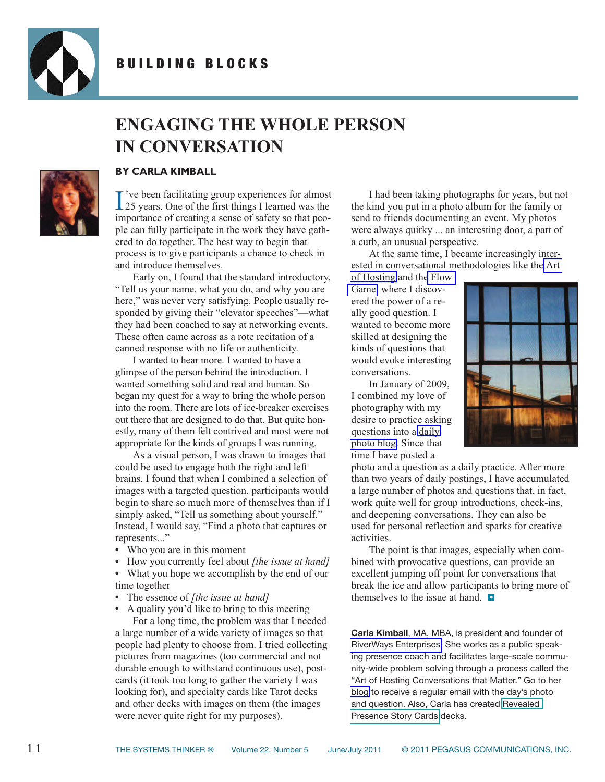<span id="page-10-0"></span>

### **ENGAGING THE WHOLE PERSON IN CONVERSATION**



#### **BY CARLA KIMBALL**

I've been facilitating group experiences for almost 25 years. One of the first things I learned was the 've been facilitating group experiences for almost importance of creating a sense of safety so that people can fully participate in the work they have gathered to do together. The best way to begin that process is to give participants a chance to check in and introduce themselves.

Early on, I found that the standard introductory, "Tell us your name, what you do, and why you are here," was never very satisfying. People usually responded by giving their "elevator speeches"—what they had been coached to say at networking events. These often came across as a rote recitation of a canned response with no life or authenticity.

I wanted to hear more. I wanted to have a glimpse of the person behind the introduction. I wanted something solid and real and human. So began my quest for a way to bring the whole person into the room. There are lots of ice-breaker exercises out there that are designed to do that. But quite honestly, many of them felt contrived and most were not appropriate for the kinds of groups I was running.

As a visual person, I was drawn to images that could be used to engage both the right and left brains. I found that when I combined a selection of images with a targeted question, participants would begin to share so much more of themselves than if I simply asked, "Tell us something about yourself." Instead, I would say, "Find a photo that captures or represents..."

- **•** Who you are in this moment
- **•** How you currently feel about *[the issue at hand]*
- **•** What you hope we accomplish by the end of our time together
- **•** The essence of *[the issue at hand]*

**•** A quality you'd like to bring to this meeting For a long time, the problem was that I needed a large number of a wide variety of images so that people had plenty to choose from. I tried collecting pictures from magazines (too commercial and not durable enough to withstand continuous use), postcards (it took too long to gather the variety I was looking for), and specialty cards like Tarot decks and other decks with images on them (the images were never quite right for my purposes).

I had been taking photographs for years, but not the kind you put in a photo album for the family or send to friends documenting an event. My photos were always quirky ... an interesting door, a part of a curb, an unusual perspective.

At the same time, I became increasingly interested in conversational methodologies like th[e Art](http://www.artofhosting.org/home/)

[of Hosting](http://www.artofhosting.org/home/) and th[e Flow](http://www.interchange.dk/practices/flowgame/) [Game,](http://www.interchange.dk/practices/flowgame/) where I discovered the power of a really good question. I wanted to become more skilled at designing the kinds of questions that would evoke interesting conversations.

In January of 2009, I combined my love of photography with my desire to practice asking questions into a [daily](http://www.revealedpresence.com/) [photo blog.](http://www.revealedpresence.com/) Since that time I have posted a



photo and a question as a daily practice. After more than two years of daily postings, I have accumulated a large number of photos and questions that, in fact, work quite well for group introductions, check-ins, and deepening conversations. They can also be used for personal reflection and sparks for creative activities.

The point is that images, especially when combined with provocative questions, can provide an excellent jumping off point for conversations that break the ice and allow participants to bring more of themselves to the issue at hand. **•**

**Carla Kimball**, MA, MBA, is president and founder of [RiverWays Enterprises.](http://www.riverways.com) She works as a public speaking presence coach and facilitates large-scale community-wide problem solving through a process called the "Art of Hosting Conversations that Matter." Go to her [blog](http://www.revealedpresence.com/) to receive a regular email with the day's photo and question. Also, Carla has created [Revealed](http://www.pegasuscom.com/BookDetail.asp?BookQuery_Action=Find() [Presence Story Cards](http://www.pegasuscom.com/BookDetail.asp?BookQuery_Action=Find() decks.